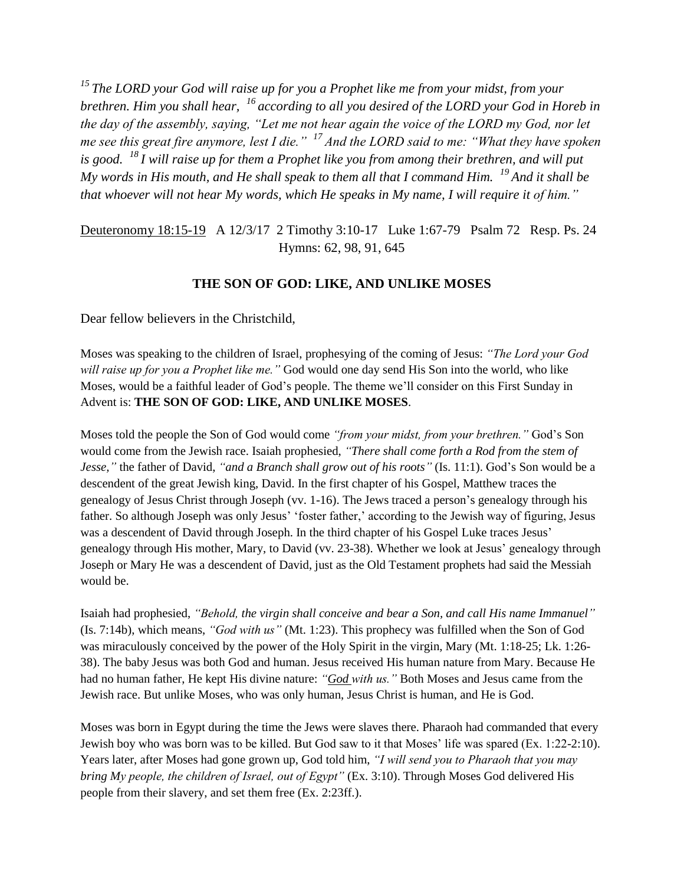*<sup>15</sup>The LORD your God will raise up for you a Prophet like me from your midst, from your brethren. Him you shall hear, <sup>16</sup>according to all you desired of the LORD your God in Horeb in the day of the assembly, saying, "Let me not hear again the voice of the LORD my God, nor let me see this great fire anymore, lest I die." <sup>17</sup>And the LORD said to me: "What they have spoken is good. <sup>18</sup>I will raise up for them a Prophet like you from among their brethren, and will put My words in His mouth, and He shall speak to them all that I command Him. <sup>19</sup>And it shall be that whoever will not hear My words, which He speaks in My name, I will require it of him."*

Deuteronomy 18:15-19 A 12/3/17 2 Timothy 3:10-17 Luke 1:67-79 Psalm 72 Resp. Ps. 24 Hymns: 62, 98, 91, 645

## **THE SON OF GOD: LIKE, AND UNLIKE MOSES**

Dear fellow believers in the Christchild,

Moses was speaking to the children of Israel, prophesying of the coming of Jesus: *"The Lord your God will raise up for you a Prophet like me."* God would one day send His Son into the world, who like Moses, would be a faithful leader of God's people. The theme we'll consider on this First Sunday in Advent is: **THE SON OF GOD: LIKE, AND UNLIKE MOSES**.

Moses told the people the Son of God would come *"from your midst, from your brethren."* God's Son would come from the Jewish race. Isaiah prophesied, *"There shall come forth a Rod from the stem of Jesse,"* the father of David, *"and a Branch shall grow out of his roots"* (Is. 11:1). God's Son would be a descendent of the great Jewish king, David. In the first chapter of his Gospel, Matthew traces the genealogy of Jesus Christ through Joseph (vv. 1-16). The Jews traced a person's genealogy through his father. So although Joseph was only Jesus' 'foster father,' according to the Jewish way of figuring, Jesus was a descendent of David through Joseph. In the third chapter of his Gospel Luke traces Jesus' genealogy through His mother, Mary, to David (vv. 23-38). Whether we look at Jesus' genealogy through Joseph or Mary He was a descendent of David, just as the Old Testament prophets had said the Messiah would be.

Isaiah had prophesied, *"Behold, the virgin shall conceive and bear a Son, and call His name Immanuel"* (Is. 7:14b), which means, *"God with us"* (Mt. 1:23). This prophecy was fulfilled when the Son of God was miraculously conceived by the power of the Holy Spirit in the virgin, Mary (Mt. 1:18-25; Lk. 1:26- 38). The baby Jesus was both God and human. Jesus received His human nature from Mary. Because He had no human father, He kept His divine nature: *"God with us."* Both Moses and Jesus came from the Jewish race. But unlike Moses, who was only human, Jesus Christ is human, and He is God.

Moses was born in Egypt during the time the Jews were slaves there. Pharaoh had commanded that every Jewish boy who was born was to be killed. But God saw to it that Moses' life was spared (Ex. 1:22-2:10). Years later, after Moses had gone grown up, God told him, *"I will send you to Pharaoh that you may bring My people, the children of Israel, out of Egypt"* (Ex. 3:10). Through Moses God delivered His people from their slavery, and set them free (Ex. 2:23ff.).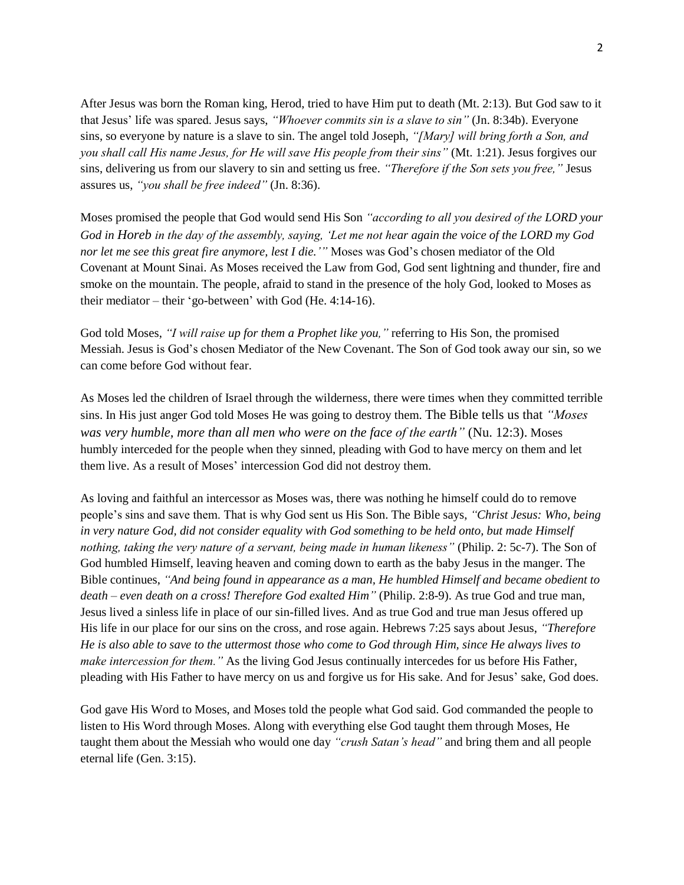After Jesus was born the Roman king, Herod, tried to have Him put to death (Mt. 2:13). But God saw to it that Jesus' life was spared. Jesus says, *"Whoever commits sin is a slave to sin"* (Jn. 8:34b). Everyone sins, so everyone by nature is a slave to sin. The angel told Joseph, *"[Mary] will bring forth a Son, and you shall call His name Jesus, for He will save His people from their sins"* (Mt. 1:21). Jesus forgives our sins, delivering us from our slavery to sin and setting us free. *"Therefore if the Son sets you free,"* Jesus assures us, *"you shall be free indeed"* (Jn. 8:36).

Moses promised the people that God would send His Son *"according to all you desired of the LORD your God in Horeb in the day of the assembly, saying, 'Let me not hear again the voice of the LORD my God nor let me see this great fire anymore, lest I die.'"* Moses was God's chosen mediator of the Old Covenant at Mount Sinai. As Moses received the Law from God, God sent lightning and thunder, fire and smoke on the mountain. The people, afraid to stand in the presence of the holy God, looked to Moses as their mediator – their 'go-between' with God (He. 4:14-16).

God told Moses, *"I will raise up for them a Prophet like you*," referring to His Son, the promised Messiah. Jesus is God's chosen Mediator of the New Covenant. The Son of God took away our sin, so we can come before God without fear.

As Moses led the children of Israel through the wilderness, there were times when they committed terrible sins. In His just anger God told Moses He was going to destroy them. The Bible tells us that *"Moses was very humble, more than all men who were on the face of the earth"* (Nu. 12:3). Moses humbly interceded for the people when they sinned, pleading with God to have mercy on them and let them live. As a result of Moses' intercession God did not destroy them.

As loving and faithful an intercessor as Moses was, there was nothing he himself could do to remove people's sins and save them. That is why God sent us His Son. The Bible says, *"Christ Jesus: Who, being in very nature God, did not consider equality with God something to be held onto, but made Himself nothing, taking the very nature of a servant, being made in human likeness"* (Philip. 2: 5c-7). The Son of God humbled Himself, leaving heaven and coming down to earth as the baby Jesus in the manger. The Bible continues, *"And being found in appearance as a man, He humbled Himself and became obedient to death – even death on a cross! Therefore God exalted Him"* (Philip. 2:8-9). As true God and true man, Jesus lived a sinless life in place of our sin-filled lives. And as true God and true man Jesus offered up His life in our place for our sins on the cross, and rose again. Hebrews 7:25 says about Jesus, *"Therefore He is also able to save to the uttermost those who come to God through Him, since He always lives to make intercession for them."* As the living God Jesus continually intercedes for us before His Father, pleading with His Father to have mercy on us and forgive us for His sake. And for Jesus' sake, God does.

God gave His Word to Moses, and Moses told the people what God said. God commanded the people to listen to His Word through Moses. Along with everything else God taught them through Moses, He taught them about the Messiah who would one day *"crush Satan's head"* and bring them and all people eternal life (Gen. 3:15).